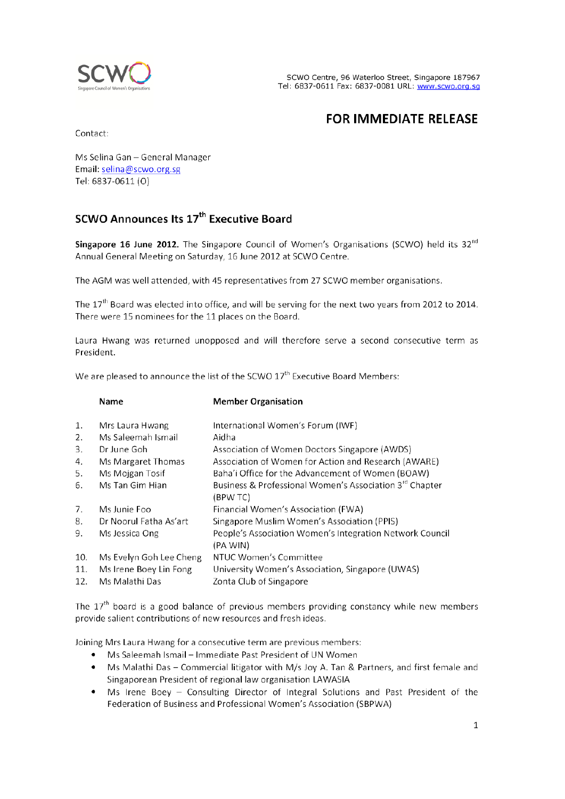

# **FOR IMMEDIATE RELEASE**

Contact:

Ms Selina Gan - General Manager Email: selina@scwo.org.sg Tel: 6837-0611 (O)

# SCWO Announces Its 17<sup>th</sup> Executive Board

Singapore 16 June 2012. The Singapore Council of Women's Organisations (SCWO) held its 32<sup>nd</sup> Annual General Meeting on Saturday, 16 June 2012 at SCWO Centre.

The AGM was well attended, with 45 representatives from 27 SCWO member organisations.

The  $17<sup>th</sup>$  Board was elected into office, and will be serving for the next two years from 2012 to 2014. There were 15 nominees for the 11 places on the Board.

Laura Hwang was returned unopposed and will therefore serve a second consecutive term as President.

We are pleased to announce the list of the SCWO 17<sup>th</sup> Executive Board Members:

|     | Name                    | <b>Member Organisation</b>                                           |
|-----|-------------------------|----------------------------------------------------------------------|
| 1.  | Mrs Laura Hwang         | International Women's Forum (IWF)                                    |
| 2.  | Ms Saleemah Ismail      | Aidha                                                                |
| 3.  | Dr June Goh             | Association of Women Doctors Singapore (AWDS)                        |
| 4.  | Ms Margaret Thomas      | Association of Women for Action and Research (AWARE)                 |
| 5.  | Ms Mojgan Tosif         | Baha'i Office for the Advancement of Women (BOAW)                    |
| 6.  | Ms Tan Gim Hian         | Business & Professional Women's Association 3rd Chapter<br>(BPW TC)  |
| 7.  | Ms Junie Foo            | Financial Women's Association (FWA)                                  |
| 8.  | Dr Noorul Fatha As'art  | Singapore Muslim Women's Association (PPIS)                          |
| 9.  | Ms Jessica Ong          | People's Association Women's Integration Network Council<br>(PA WIN) |
| 10. | Ms Evelyn Goh Lee Cheng | NTUC Women's Committee                                               |
| 11. | Ms Irene Boey Lin Fong  | University Women's Association, Singapore (UWAS)                     |
| 12. | Ms Malathi Das          | Zonta Club of Singapore                                              |

The 17<sup>th</sup> board is a good balance of previous members providing constancy while new members provide salient contributions of new resources and fresh ideas.

Joining Mrs Laura Hwang for a consecutive term are previous members:

- Ms Saleemah Ismail Immediate Past President of UN Women
- Ms Malathi Das Commercial litigator with M/s Joy A. Tan & Partners, and first female and Singaporean President of regional law organisation LAWASIA
- Ms Irene Boey Consulting Director of Integral Solutions and Past President of the Federation of Business and Professional Women's Association (SBPWA)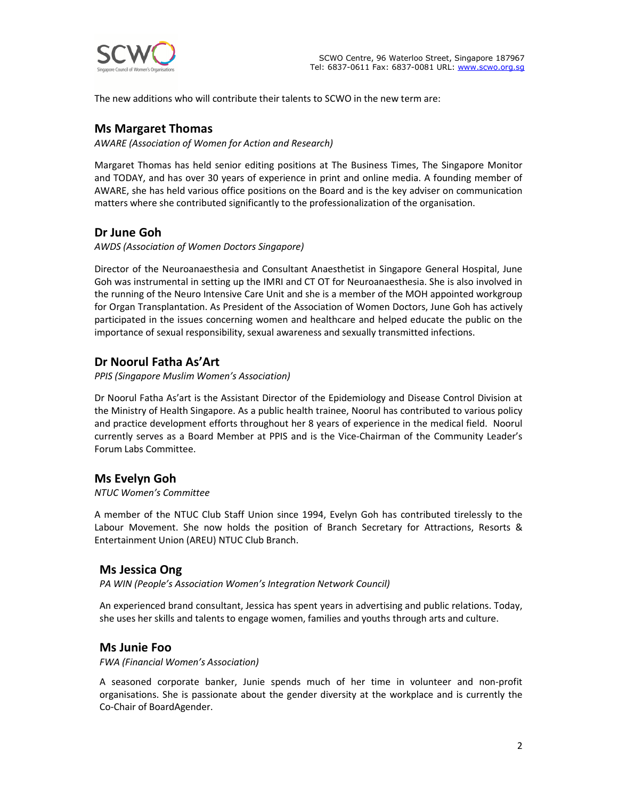

The new additions who will contribute their talents to SCWO in the new term are:

### **Ms Margaret Thomas**

*AWARE (Association of Women for Action and Research)* 

Margaret Thomas has held senior editing positions at The Business Times, The Singapore Monitor and TODAY, and has over 30 years of experience in print and online media. A founding member of AWARE, she has held various office positions on the Board and is the key adviser on communication matters where she contributed significantly to the professionalization of the organisation.

## **Dr June Goh**

*AWDS (Association of Women Doctors Singapore)* 

Director of the Neuroanaesthesia and Consultant Anaesthetist in Singapore General Hospital, June Goh was instrumental in setting up the IMRI and CT OT for Neuroanaesthesia. She is also involved in the running of the Neuro Intensive Care Unit and she is a member of the MOH appointed workgroup for Organ Transplantation. As President of the Association of Women Doctors, June Goh has actively participated in the issues concerning women and healthcare and helped educate the public on the importance of sexual responsibility, sexual awareness and sexually transmitted infections.

## **Dr Noorul Fatha As'Art**

*PPIS (Singapore Muslim Women's Association)* 

Dr Noorul Fatha As'art is the Assistant Director of the Epidemiology and Disease Control Division at the Ministry of Health Singapore. As a public health trainee, Noorul has contributed to various policy and practice development efforts throughout her 8 years of experience in the medical field. Noorul currently serves as a Board Member at PPIS and is the Vice-Chairman of the Community Leader's Forum Labs Committee.

#### **Ms Evelyn Goh**

#### *NTUC Women's Committee*

A member of the NTUC Club Staff Union since 1994, Evelyn Goh has contributed tirelessly to the Labour Movement. She now holds the position of Branch Secretary for Attractions, Resorts & Entertainment Union (AREU) NTUC Club Branch.

#### **Ms Jessica Ong**

*PA WIN (People's Association Women's Integration Network Council)* 

An experienced brand consultant, Jessica has spent years in advertising and public relations. Today, she uses her skills and talents to engage women, families and youths through arts and culture.

#### **Ms Junie Foo**

*FWA (Financial Women's Association)* 

A seasoned corporate banker, Junie spends much of her time in volunteer and non-profit organisations. She is passionate about the gender diversity at the workplace and is currently the Co-Chair of BoardAgender.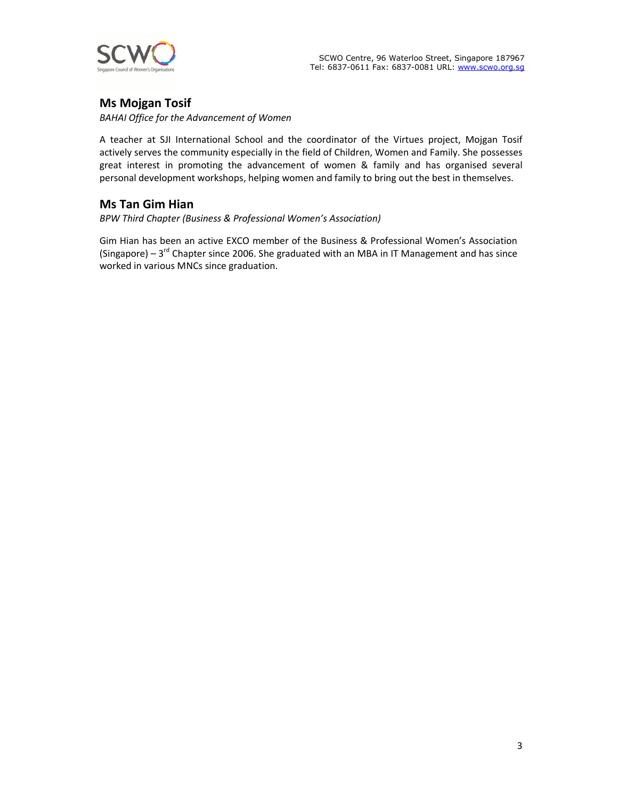

## **Ms Mojgan Tosif**

*BAHAI Office for the Advancement of Women* 

A teacher at SJI International School and the coordinator of the Virtues project, Mojgan Tosif actively serves the community especially in the field of Children, Women and Family. She possesses great interest in promoting the advancement of women & family and has organised several personal development workshops, helping women and family to bring out the best in themselves.

## **Ms Tan Gim Hian**

*BPW Third Chapter (Business & Professional Women's Association)* 

Gim Hian has been an active EXCO member of the Business & Professional Women's Association (Singapore) –  $3<sup>rd</sup>$  Chapter since 2006. She graduated with an MBA in IT Management and has since worked in various MNCs since graduation.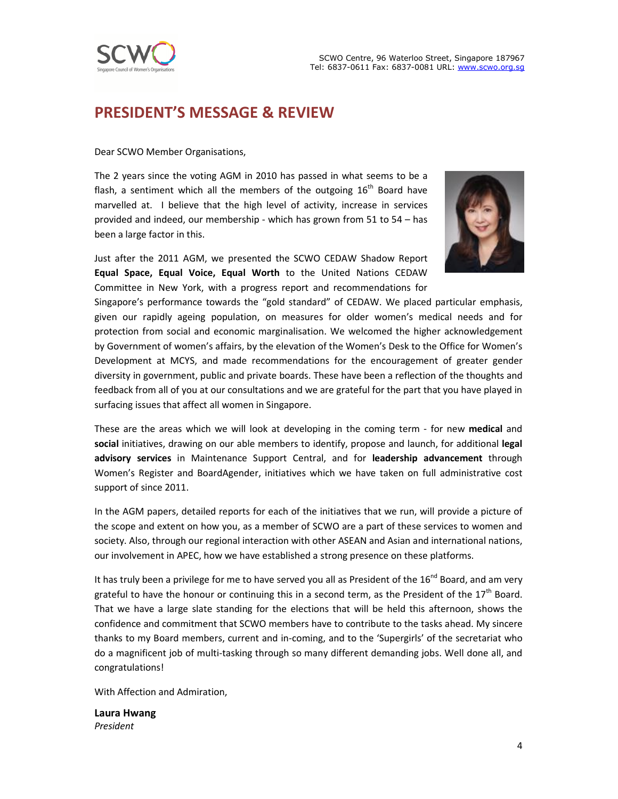



# **PRESIDENT'S MESSAGE & REVIEW**

Dear SCWO Member Organisations,

The 2 years since the voting AGM in 2010 has passed in what seems to be a flash, a sentiment which all the members of the outgoing  $16<sup>th</sup>$  Board have marvelled at. I believe that the high level of activity, increase in services provided and indeed, our membership - which has grown from 51 to 54 – has been a large factor in this.

Just after the 2011 AGM, we presented the SCWO CEDAW Shadow Report **Equal Space, Equal Voice, Equal Worth** to the United Nations CEDAW Committee in New York, with a progress report and recommendations for



Singapore's performance towards the "gold standard" of CEDAW. We placed particular emphasis, given our rapidly ageing population, on measures for older women's medical needs and for protection from social and economic marginalisation. We welcomed the higher acknowledgement by Government of women's affairs, by the elevation of the Women's Desk to the Office for Women's Development at MCYS, and made recommendations for the encouragement of greater gender diversity in government, public and private boards. These have been a reflection of the thoughts and feedback from all of you at our consultations and we are grateful for the part that you have played in surfacing issues that affect all women in Singapore.

These are the areas which we will look at developing in the coming term - for new **medical** and **social** initiatives, drawing on our able members to identify, propose and launch, for additional **legal advisory services** in Maintenance Support Central, and for **leadership advancement** through Women's Register and BoardAgender, initiatives which we have taken on full administrative cost support of since 2011.

In the AGM papers, detailed reports for each of the initiatives that we run, will provide a picture of the scope and extent on how you, as a member of SCWO are a part of these services to women and society. Also, through our regional interaction with other ASEAN and Asian and international nations, our involvement in APEC, how we have established a strong presence on these platforms.

It has truly been a privilege for me to have served you all as President of the 16<sup>nd</sup> Board, and am very grateful to have the honour or continuing this in a second term, as the President of the  $17<sup>th</sup>$  Board. That we have a large slate standing for the elections that will be held this afternoon, shows the confidence and commitment that SCWO members have to contribute to the tasks ahead. My sincere thanks to my Board members, current and in-coming, and to the 'Supergirls' of the secretariat who do a magnificent job of multi-tasking through so many different demanding jobs. Well done all, and congratulations!

With Affection and Admiration,

**Laura Hwang**  *President*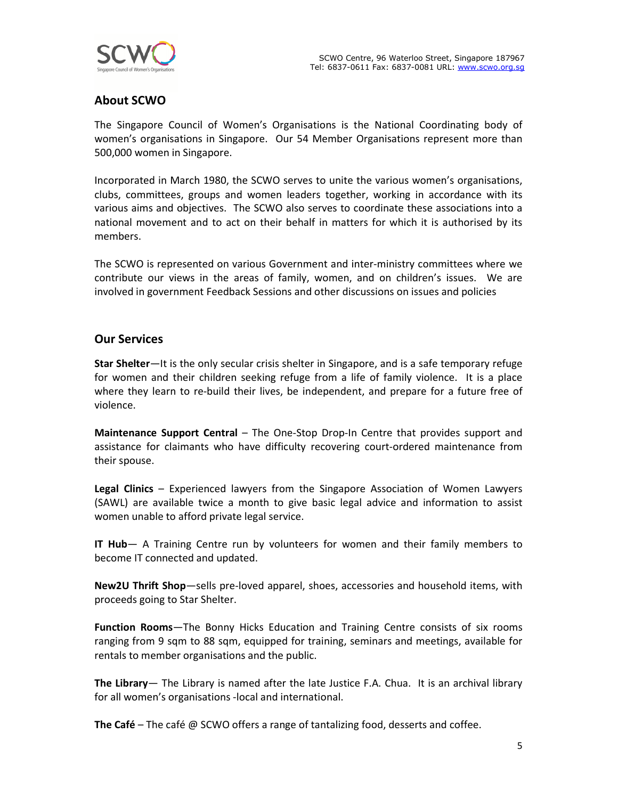

## **About SCWO**

The Singapore Council of Women's Organisations is the National Coordinating body of women's organisations in Singapore. Our 54 Member Organisations represent more than 500,000 women in Singapore.

Incorporated in March 1980, the SCWO serves to unite the various women's organisations, clubs, committees, groups and women leaders together, working in accordance with its various aims and objectives. The SCWO also serves to coordinate these associations into a national movement and to act on their behalf in matters for which it is authorised by its members.

The SCWO is represented on various Government and inter-ministry committees where we contribute our views in the areas of family, women, and on children's issues. We are involved in government Feedback Sessions and other discussions on issues and policies

## **Our Services**

**Star Shelter**—It is the only secular crisis shelter in Singapore, and is a safe temporary refuge for women and their children seeking refuge from a life of family violence. It is a place where they learn to re-build their lives, be independent, and prepare for a future free of violence.

**Maintenance Support Central** – The One-Stop Drop-In Centre that provides support and assistance for claimants who have difficulty recovering court-ordered maintenance from their spouse.

**Legal Clinics** – Experienced lawyers from the Singapore Association of Women Lawyers (SAWL) are available twice a month to give basic legal advice and information to assist women unable to afford private legal service.

**IT Hub**— A Training Centre run by volunteers for women and their family members to become IT connected and updated.

**New2U Thrift Shop**—sells pre-loved apparel, shoes, accessories and household items, with proceeds going to Star Shelter.

**Function Rooms**—The Bonny Hicks Education and Training Centre consists of six rooms ranging from 9 sqm to 88 sqm, equipped for training, seminars and meetings, available for rentals to member organisations and the public.

**The Library**— The Library is named after the late Justice F.A. Chua. It is an archival library for all women's organisations -local and international.

**The Café** – The café @ SCWO offers a range of tantalizing food, desserts and coffee.